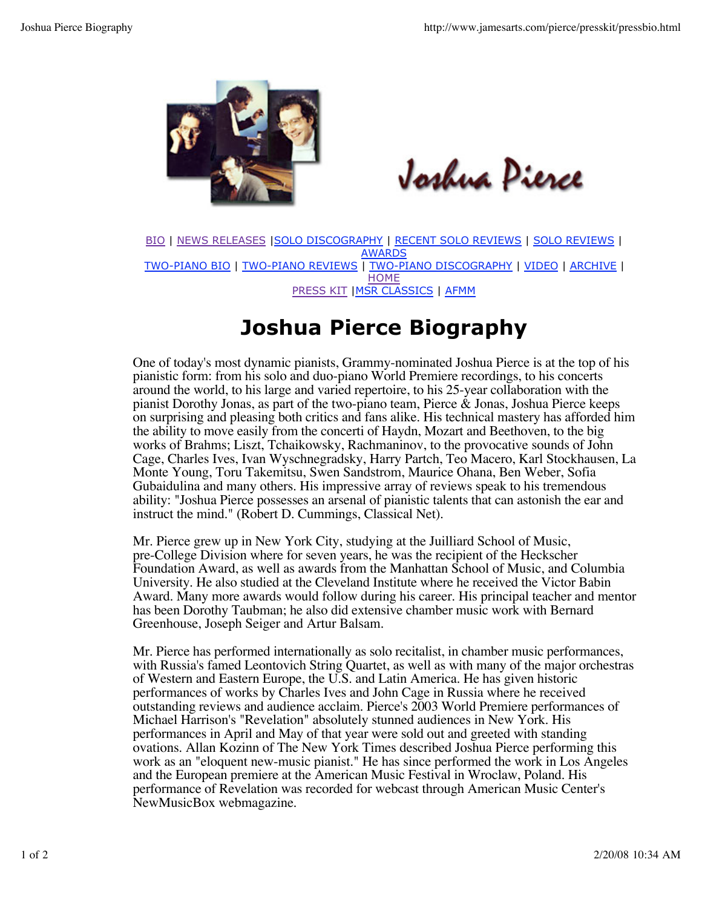

Joshua Pierce

BIO | NEWS RELEASES |SOLO DISCOGRAPHY | RECENT SOLO REVIEWS | SOLO REVIEWS | AWARDS TWO-PIANO BIO | TWO-PIANO REVIEWS | TWO-PIANO DISCOGRAPHY | VIDEO | ARCHIVE | **HOME** PRESS KIT |MSR CLASSICS | AFMM

## **Joshua Pierce Biography**

One of today's most dynamic pianists, Grammy-nominated Joshua Pierce is at the top of his pianistic form: from his solo and duo-piano World Premiere recordings, to his concerts around the world, to his large and varied repertoire, to his 25-year collaboration with the pianist Dorothy Jonas, as part of the two-piano team, Pierce & Jonas, Joshua Pierce keeps on surprising and pleasing both critics and fans alike. His technical mastery has afforded him the ability to move easily from the concerti of Haydn, Mozart and Beethoven, to the big works of Brahms; Liszt, Tchaikowsky, Rachmaninov, to the provocative sounds of John Cage, Charles Ives, Ivan Wyschnegradsky, Harry Partch, Teo Macero, Karl Stockhausen, La Monte Young, Toru Takemitsu, Swen Sandstrom, Maurice Ohana, Ben Weber, Sofia Gubaidulina and many others. His impressive array of reviews speak to his tremendous ability: "Joshua Pierce possesses an arsenal of pianistic talents that can astonish the ear and instruct the mind." (Robert D. Cummings, Classical Net).

Mr. Pierce grew up in New York City, studying at the Juilliard School of Music, pre-College Division where for seven years, he was the recipient of the Heckscher Foundation Award, as well as awards from the Manhattan School of Music, and Columbia University. He also studied at the Cleveland Institute where he received the Victor Babin Award. Many more awards would follow during his career. His principal teacher and mentor has been Dorothy Taubman; he also did extensive chamber music work with Bernard Greenhouse, Joseph Seiger and Artur Balsam.

Mr. Pierce has performed internationally as solo recitalist, in chamber music performances, with Russia's famed Leontovich String Quartet, as well as with many of the major orchestras of Western and Eastern Europe, the U.S. and Latin America. He has given historic performances of works by Charles Ives and John Cage in Russia where he received outstanding reviews and audience acclaim. Pierce's 2003 World Premiere performances of Michael Harrison's "Revelation" absolutely stunned audiences in New York. His performances in April and May of that year were sold out and greeted with standing ovations. Allan Kozinn of The New York Times described Joshua Pierce performing this work as an "eloquent new-music pianist." He has since performed the work in Los Angeles and the European premiere at the American Music Festival in Wroclaw, Poland. His performance of Revelation was recorded for webcast through American Music Center's NewMusicBox webmagazine.